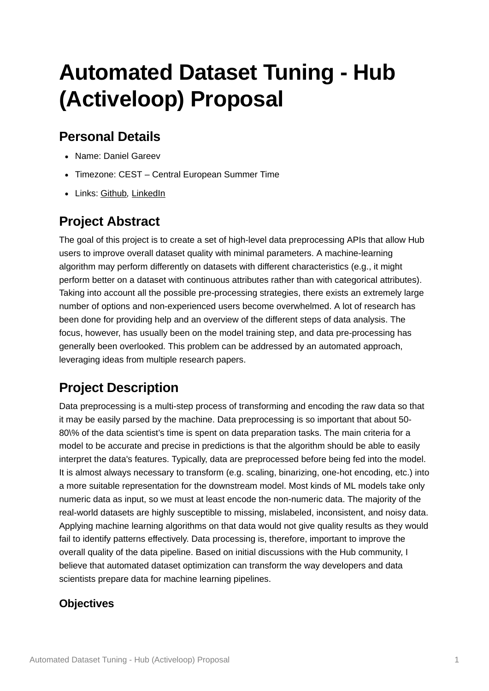# **Automated Dataset Tuning - Hub (Activeloop) Proposal**

# **Personal Details**

- Name: Daniel Gareev
- Timezone: CEST Central European Summer Time
- Links: [Github](https://github.com/lowlypalace)*,* [LinkedIn](https://www.linkedin.com/in/danielgareev/)

# **Project Abstract**

The goal of this project is to create a set of high-level data preprocessing APIs that allow Hub users to improve overall dataset quality with minimal parameters. A machine-learning algorithm may perform differently on datasets with different characteristics (e.g., it might perform better on a dataset with continuous attributes rather than with categorical attributes). Taking into account all the possible pre-processing strategies, there exists an extremely large number of options and non-experienced users become overwhelmed. A lot of research has been done for providing help and an overview of the different steps of data analysis. The focus, however, has usually been on the model training step, and data pre-processing has generally been overlooked. This problem can be addressed by an automated approach, leveraging ideas from multiple research papers.

# **Project Description**

Data preprocessing is a multi-step process of transforming and encoding the raw data so that it may be easily parsed by the machine. Data preprocessing is so important that about 50- 80\% of the data scientist's time is spent on data preparation tasks. The main criteria for a model to be accurate and precise in predictions is that the algorithm should be able to easily interpret the data's features. Typically, data are preprocessed before being fed into the model. It is almost always necessary to transform (e.g. scaling, binarizing, one-hot encoding, etc.) into a more suitable representation for the downstream model. Most kinds of ML models take only numeric data as input, so we must at least encode the non-numeric data. The majority of the real-world datasets are highly susceptible to missing, mislabeled, inconsistent, and noisy data. Applying machine learning algorithms on that data would not give quality results as they would fail to identify patterns effectively. Data processing is, therefore, important to improve the overall quality of the data pipeline. Based on initial discussions with the Hub community, I believe that automated dataset optimization can transform the way developers and data scientists prepare data for machine learning pipelines.

## **Objectives**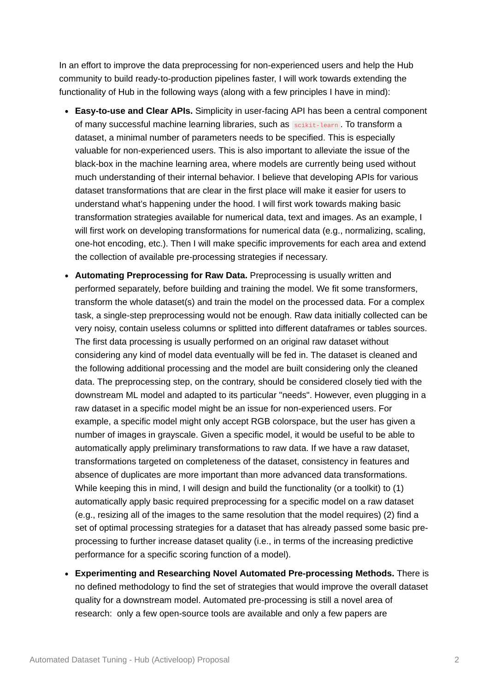In an effort to improve the data preprocessing for non-experienced users and help the Hub community to build ready-to-production pipelines faster, I will work towards extending the functionality of Hub in the following ways (along with a few principles I have in mind):

- **Easy-to-use and Clear APIs.** Simplicity in user-facing API has been a central component of many successful machine learning libraries, such as scikit-learn . To transform a dataset, a minimal number of parameters needs to be specified. This is especially valuable for non-experienced users. This is also important to alleviate the issue of the black-box in the machine learning area, where models are currently being used without much understanding of their internal behavior. I believe that developing APIs for various dataset transformations that are clear in the first place will make it easier for users to understand what's happening under the hood. I will first work towards making basic transformation strategies available for numerical data, text and images. As an example, I will first work on developing transformations for numerical data (e.g., normalizing, scaling, one-hot encoding, etc.). Then I will make specific improvements for each area and extend the collection of available pre-processing strategies if necessary.
- **Automating Preprocessing for Raw Data.** Preprocessing is usually written and performed separately, before building and training the model. We fit some transformers, transform the whole dataset(s) and train the model on the processed data. For a complex task, a single-step preprocessing would not be enough. Raw data initially collected can be very noisy, contain useless columns or splitted into different dataframes or tables sources. The first data processing is usually performed on an original raw dataset without considering any kind of model data eventually will be fed in. The dataset is cleaned and the following additional processing and the model are built considering only the cleaned data. The preprocessing step, on the contrary, should be considered closely tied with the downstream ML model and adapted to its particular "needs". However, even plugging in a raw dataset in a specific model might be an issue for non-experienced users. For example, a specific model might only accept RGB colorspace, but the user has given a number of images in grayscale. Given a specific model, it would be useful to be able to automatically apply preliminary transformations to raw data. If we have a raw dataset, transformations targeted on completeness of the dataset, consistency in features and absence of duplicates are more important than more advanced data transformations. While keeping this in mind, I will design and build the functionality (or a toolkit) to (1) automatically apply basic required preprocessing for a specific model on a raw dataset (e.g., resizing all of the images to the same resolution that the model requires) (2) find a set of optimal processing strategies for a dataset that has already passed some basic preprocessing to further increase dataset quality (i.e., in terms of the increasing predictive performance for a specific scoring function of a model).
- **Experimenting and Researching Novel Automated Pre-processing Methods.** There is no defined methodology to find the set of strategies that would improve the overall dataset quality for a downstream model. Automated pre-processing is still a novel area of research: only a few open-source tools are available and only a few papers are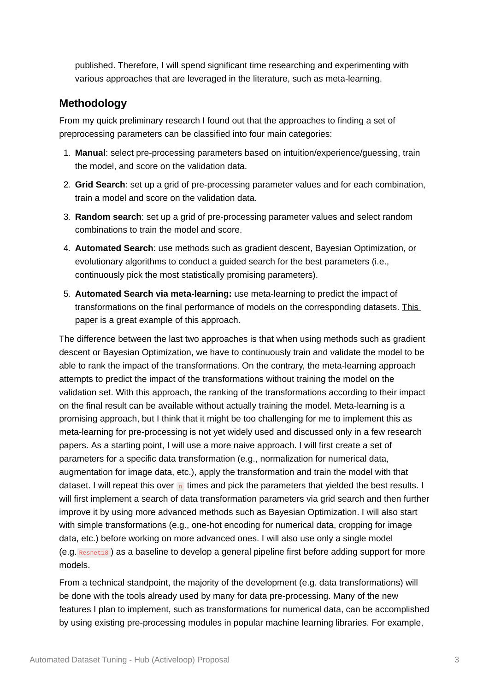published. Therefore, I will spend significant time researching and experimenting with various approaches that are leveraged in the literature, such as meta-learning.

## **Methodology**

From my quick preliminary research I found out that the approaches to finding a set of preprocessing parameters can be classified into four main categories:

- 1. **Manual**: select pre-processing parameters based on intuition/experience/guessing, train the model, and score on the validation data.
- 2. **Grid Search**: set up a grid of pre-processing parameter values and for each combination, train a model and score on the validation data.
- 3. **Random search**: set up a grid of pre-processing parameter values and select random combinations to train the model and score.
- 4. **Automated Search**: use methods such as gradient descent, Bayesian Optimization, or evolutionary algorithms to conduct a guided search for the best parameters (i.e., continuously pick the most statistically promising parameters).
- 5. **Automated Search via meta-learning:** use meta-learning to predict the impact of [transformations on the final performance of models on the corresponding datasets. This](https://www.essi.upc.edu/~aabello/publications/16.MEDI.Besim.pdf) paper is a great example of this approach.

The difference between the last two approaches is that when using methods such as gradient descent or Bayesian Optimization, we have to continuously train and validate the model to be able to rank the impact of the transformations. On the contrary, the meta-learning approach attempts to predict the impact of the transformations without training the model on the validation set. With this approach, the ranking of the transformations according to their impact on the final result can be available without actually training the model. Meta-learning is a promising approach, but I think that it might be too challenging for me to implement this as meta-learning for pre-processing is not yet widely used and discussed only in a few research papers. As a starting point, I will use a more naive approach. I will first create a set of parameters for a specific data transformation (e.g., normalization for numerical data, augmentation for image data, etc.), apply the transformation and train the model with that dataset. I will repeat this over n times and pick the parameters that yielded the best results. I will first implement a search of data transformation parameters via grid search and then further improve it by using more advanced methods such as Bayesian Optimization. I will also start with simple transformations (e.g., one-hot encoding for numerical data, cropping for image data, etc.) before working on more advanced ones. I will also use only a single model (e.g. Resnet18 ) as a baseline to develop a general pipeline first before adding support for more models.

From a technical standpoint, the majority of the development (e.g. data transformations) will be done with the tools already used by many for data pre-processing. Many of the new features I plan to implement, such as transformations for numerical data, can be accomplished by using existing pre-processing modules in popular machine learning libraries. For example,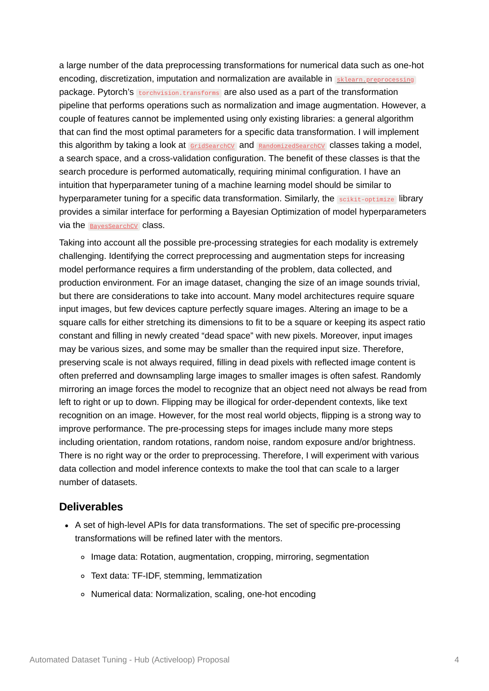a large number of the data preprocessing transformations for numerical data such as one-hot encoding, discretization, imputation and normalization are available in [sklearn.preprocessing](https://scikit-learn.org/stable/modules/preprocessing.html) package. Pytorch's torchvision.transforms are also used as a part of the transformation pipeline that performs operations such as normalization and image augmentation. However, a couple of features cannot be implemented using only existing libraries: a general algorithm that can find the most optimal parameters for a specific data transformation. I will implement this algorithm by taking a look at [GridSearchCV](https://scikit-learn.org/stable/modules/generated/sklearn.model_selection.GridSearchCV.html) and [RandomizedSearchCV](https://scikit-learn.org/stable/modules/generated/sklearn.model_selection.RandomizedSearchCV.html) classes taking a model, a search space, and a cross-validation configuration. The benefit of these classes is that the search procedure is performed automatically, requiring minimal configuration. I have an intuition that hyperparameter tuning of a machine learning model should be similar to hyperparameter tuning for a specific data transformation. Similarly, the scikit-optimize library provides a similar interface for performing a Bayesian Optimization of model hyperparameters via the [BayesSearchCV](https://scikit-optimize.github.io/stable/modules/generated/skopt.BayesSearchCV.html) class.

Taking into account all the possible pre-processing strategies for each modality is extremely challenging. Identifying the correct preprocessing and augmentation steps for increasing model performance requires a firm understanding of the problem, data collected, and production environment. For an image dataset, changing the size of an image sounds trivial, but there are considerations to take into account. Many model architectures require square input images, but few devices capture perfectly square images. Altering an image to be a square calls for either stretching its dimensions to fit to be a square or keeping its aspect ratio constant and filling in newly created "dead space" with new pixels. Moreover, input images may be various sizes, and some may be smaller than the required input size. Therefore, preserving scale is not always required, filling in dead pixels with reflected image content is often preferred and downsampling large images to smaller images is often safest. Randomly mirroring an image forces the model to recognize that an object need not always be read from left to right or up to down. Flipping may be illogical for order-dependent contexts, like text recognition on an image. However, for the most real world objects, flipping is a strong way to improve performance. The pre-processing steps for images include many more steps including orientation, random rotations, random noise, random exposure and/or brightness. There is no right way or the order to preprocessing. Therefore, I will experiment with various data collection and model inference contexts to make the tool that can scale to a larger number of datasets.

#### **Deliverables**

- A set of high-level APIs for data transformations. The set of specific pre-processing transformations will be refined later with the mentors.
	- Image data: Rotation, augmentation, cropping, mirroring, segmentation
	- Text data: TF-IDF, stemming, lemmatization
	- Numerical data: Normalization, scaling, one-hot encoding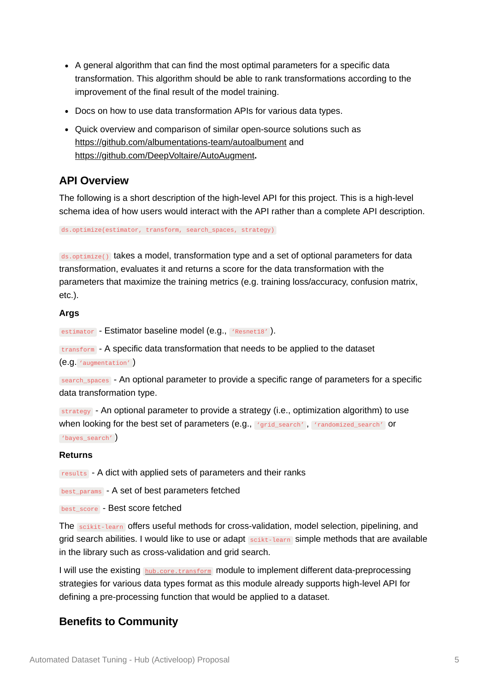- A general algorithm that can find the most optimal parameters for a specific data transformation. This algorithm should be able to rank transformations according to the improvement of the final result of the model training.
- Docs on how to use data transformation APIs for various data types.
- Quick overview and comparison of similar open-source solutions such as <https://github.com/albumentations-team/autoalbument>and <https://github.com/DeepVoltaire/AutoAugment>**.**

#### **API Overview**

The following is a short description of the high-level API for this project. This is a high-level schema idea of how users would interact with the API rather than a complete API description.

ds.optimize(estimator, transform, search\_spaces, strategy)

 $ds$ .optimize() takes a model, transformation type and a set of optional parameters for data transformation, evaluates it and returns a score for the data transformation with the parameters that maximize the training metrics (e.g. training loss/accuracy, confusion matrix, etc.).

#### **Args**

estimator - Estimator baseline model (e.g., 'Resnet18').

transform - A specific data transformation that needs to be applied to the dataset (e.g. 'augmentation' )

search\_spaces - An optional parameter to provide a specific range of parameters for a specific data transformation type.

strategy - An optional parameter to provide a strategy (i.e., optimization algorithm) to use when looking for the best set of parameters (e.g., 'grid\_search', 'randomized\_search' Or 'bayes\_search' )

#### **Returns**

results - A dict with applied sets of parameters and their ranks

best\_params - A set of best parameters fetched

best\_score - Best score fetched

The scikit-learn offers useful methods for cross-validation, model selection, pipelining, and grid search abilities. I would like to use or adapt scikt-learn simple methods that are available in the library such as cross-validation and grid search.

I will use the existing [hub.core.transform](https://api-docs.activeloop.ai/core/transform/index.html) module to implement different data-preprocessing strategies for various data types format as this module already supports high-level API for defining a pre-processing function that would be applied to a dataset.

### **Benefits to Community**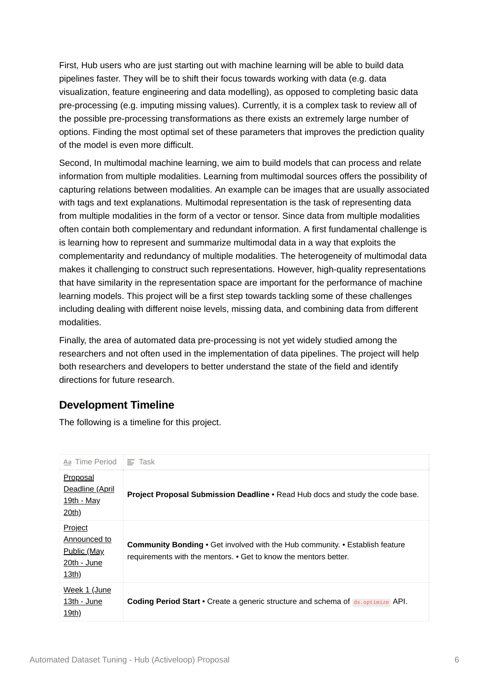First, Hub users who are just starting out with machine learning will be able to build data pipelines faster. They will be to shift their focus towards working with data (e.g. data visualization, feature engineering and data modelling), as opposed to completing basic data pre-processing (e.g. imputing missing values). Currently, it is a complex task to review all of the possible pre-processing transformations as there exists an extremely large number of options. Finding the most optimal set of these parameters that improves the prediction quality of the model is even more difficult.

Second, In multimodal machine learning, we aim to build models that can process and relate information from multiple modalities. Learning from multimodal sources offers the possibility of capturing relations between modalities. An example can be images that are usually associated with tags and text explanations. Multimodal representation is the task of representing data from multiple modalities in the form of a vector or tensor. Since data from multiple modalities often contain both complementary and redundant information. A first fundamental challenge is is learning how to represent and summarize multimodal data in a way that exploits the complementarity and redundancy of multiple modalities. The heterogeneity of multimodal data makes it challenging to construct such representations. However, high-quality representations that have similarity in the representation space are important for the performance of machine learning models. This project will be a first step towards tackling some of these challenges including dealing with different noise levels, missing data, and combining data from different modalities.

Finally, the area of automated data pre-processing is not yet widely studied among the researchers and not often used in the implementation of data pipelines. The project will help both researchers and developers to better understand the state of the field and identify directions for future research.

## **Development Timeline**

The following is a timeline for this project.

| Aa Time Period                                                                 | $\equiv$ Task                                                                                                                                           |
|--------------------------------------------------------------------------------|---------------------------------------------------------------------------------------------------------------------------------------------------------|
| <b>Proposal</b><br><u>Deadline (April</u><br><u> 19th - May</u><br>20th)       | <b>Project Proposal Submission Deadline • Read Hub docs and study the code base.</b>                                                                    |
| Project<br>Announced to<br><u>Public (May</u><br>$20th - June$<br><u>13th)</u> | <b>Community Bonding •</b> Get involved with the Hub community. • Establish feature<br>requirements with the mentors. • Get to know the mentors better. |
| Week 1 (June<br>13th - June<br>19th)                                           | <b>Coding Period Start •</b> Create a generic structure and schema of ds. optimize API.                                                                 |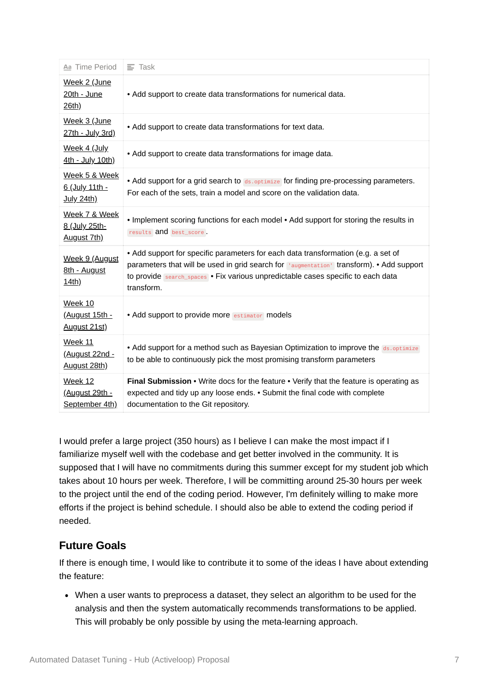| Aa Time Period                                       | $\equiv$ Task                                                                                                                                                                                                                                                                   |
|------------------------------------------------------|---------------------------------------------------------------------------------------------------------------------------------------------------------------------------------------------------------------------------------------------------------------------------------|
| Week 2 (June<br>20th - June<br>26th)                 | • Add support to create data transformations for numerical data.                                                                                                                                                                                                                |
| Week 3 (June<br>27th - July 3rd)                     | • Add support to create data transformations for text data.                                                                                                                                                                                                                     |
| Week 4 (July<br>4th - July 10th)                     | • Add support to create data transformations for image data.                                                                                                                                                                                                                    |
| Week 5 & Week<br>6 (July 11th -<br><b>July 24th)</b> | • Add support for a grid search to ds.optimize for finding pre-processing parameters.<br>For each of the sets, train a model and score on the validation data.                                                                                                                  |
| Week 7 & Week<br>8 (July 25th-<br>August 7th)        | • Implement scoring functions for each model • Add support for storing the results in<br>results and best_score.                                                                                                                                                                |
| Week 9 (August<br>8th - August<br>14th)              | • Add support for specific parameters for each data transformation (e.g. a set of<br>parameters that will be used in grid search for laugmentation! transform). • Add support<br>to provide search_spaces . Fix various unpredictable cases specific to each data<br>transform. |
| Week 10<br><u>(August 15th -</u><br>August 21st)     | • Add support to provide more estimator models                                                                                                                                                                                                                                  |
| <b>Week 11</b><br>August 22nd -<br>August 28th)      | • Add support for a method such as Bayesian Optimization to improve the ds.optimize<br>to be able to continuously pick the most promising transform parameters                                                                                                                  |
| Week 12<br>(August 29th -<br>September 4th)          | Final Submission • Write docs for the feature • Verify that the feature is operating as<br>expected and tidy up any loose ends. • Submit the final code with complete<br>documentation to the Git repository.                                                                   |

I would prefer a large project (350 hours) as I believe I can make the most impact if I familiarize myself well with the codebase and get better involved in the community. It is supposed that I will have no commitments during this summer except for my student job which takes about 10 hours per week. Therefore, I will be committing around 25-30 hours per week to the project until the end of the coding period. However, I'm definitely willing to make more efforts if the project is behind schedule. I should also be able to extend the coding period if needed.

## **Future Goals**

If there is enough time, I would like to contribute it to some of the ideas I have about extending the feature:

When a user wants to preprocess a dataset, they select an algorithm to be used for the analysis and then the system automatically recommends transformations to be applied. This will probably be only possible by using the meta-learning approach.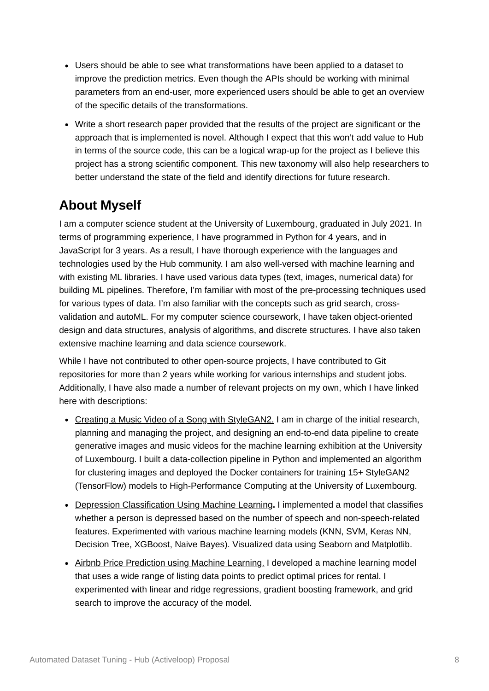- Users should be able to see what transformations have been applied to a dataset to improve the prediction metrics. Even though the APIs should be working with minimal parameters from an end-user, more experienced users should be able to get an overview of the specific details of the transformations.
- Write a short research paper provided that the results of the project are significant or the approach that is implemented is novel. Although I expect that this won't add value to Hub in terms of the source code, this can be a logical wrap-up for the project as I believe this project has a strong scientific component. This new taxonomy will also help researchers to better understand the state of the field and identify directions for future research.

# **About Myself**

I am a computer science student at the University of Luxembourg, graduated in July 2021. In terms of programming experience, I have programmed in Python for 4 years, and in JavaScript for 3 years. As a result, I have thorough experience with the languages and technologies used by the Hub community. I am also well-versed with machine learning and with existing ML libraries. I have used various data types (text, images, numerical data) for building ML pipelines. Therefore, I'm familiar with most of the pre-processing techniques used for various types of data. I'm also familiar with the concepts such as grid search, crossvalidation and autoML. For my computer science coursework, I have taken object-oriented design and data structures, analysis of algorithms, and discrete structures. I have also taken extensive machine learning and data science coursework.

While I have not contributed to other open-source projects, I have contributed to Git repositories for more than 2 years while working for various internships and student jobs. Additionally, I have also made a number of relevant projects on my own, which I have linked here with descriptions:

- [Creating a Music Video of a Song with StyleGAN2.](https://github.com/lowlypalace/StyleGAN2) I am in charge of the initial research, planning and managing the project, and designing an end-to-end data pipeline to create generative images and music videos for the machine learning exhibition at the University of Luxembourg. I built a data-collection pipeline in Python and implemented an algorithm for clustering images and deployed the Docker containers for training 15+ StyleGAN2 (TensorFlow) models to High-Performance Computing at the University of Luxembourg.
- [Depression Classification Using Machine Learning](https://github.com/lowlypalace/depression-classification)**.** I implemented a model that classifies whether a person is depressed based on the number of speech and non-speech-related features. Experimented with various machine learning models (KNN, SVM, Keras NN, Decision Tree, XGBoost, Naive Bayes). Visualized data using Seaborn and Matplotlib.
- [Airbnb Price Prediction using Machine Learning.](https://github.com/lowlypalace/airbnb) I developed a machine learning model that uses a wide range of listing data points to predict optimal prices for rental. I experimented with linear and ridge regressions, gradient boosting framework, and grid search to improve the accuracy of the model.